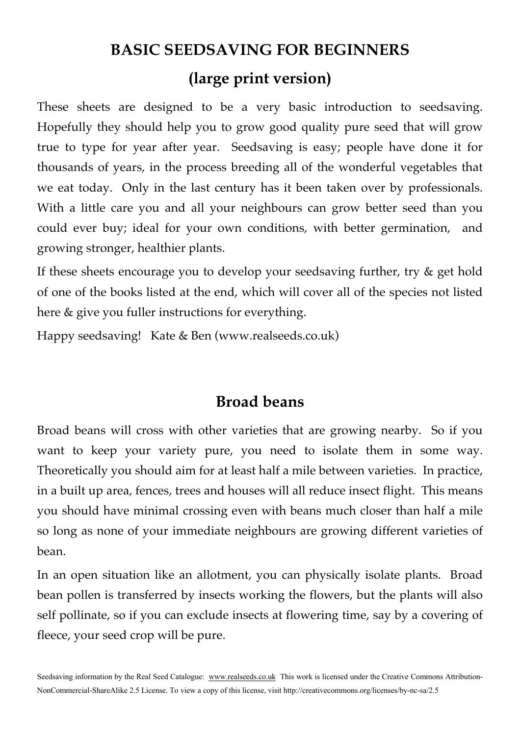# **BASIC SEEDSAVING FOR BEGINNERS (large print version)**

These sheets are designed to be a very basic introduction to seedsaving. Hopefully they should help you to grow good quality pure seed that will grow true to type for year after year. Seedsaving is easy; people have done it for thousands of years, in the process breeding all of the wonderful vegetables that we eat today. Only in the last century has it been taken over by professionals. With a little care you and all your neighbours can grow better seed than you could ever buy; ideal for your own conditions, with better germination, and growing stronger, healthier plants.

If these sheets encourage you to develop your seedsaving further, try & get hold of one of the books listed at the end, which will cover all of the species not listed here & give you fuller instructions for everything.

Happy seedsaving! Kate & Ben (www.realseeds.co.uk)

#### **Broad beans**

Broad beans will cross with other varieties that are growing nearby. So if you want to keep your variety pure, you need to isolate them in some way. Theoretically you should aim for at least half a mile between varieties. In practice, in a built up area, fences, trees and houses will all reduce insect flight. This means you should have minimal crossing even with beans much closer than half a mile so long as none of your immediate neighbours are growing different varieties of bean.

In an open situation like an allotment, you can physically isolate plants. Broad bean pollen is transferred by insects working the flowers, but the plants will also self pollinate, so if you can exclude insects at flowering time, say by a covering of fleece, your seed crop will be pure.

Seedsaving information by the Real Seed Catalogue: www.realseeds.co.uk This work is licensed under the Creative Commons Attribution-NonCommercial-ShareAlike 2.5 License. To view a copy of this license, visit http://creativecommons.org/licenses/by-nc-sa/2.5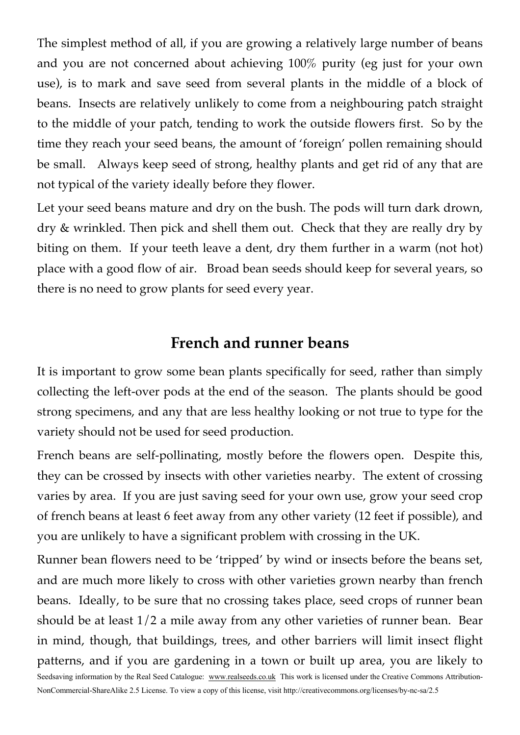The simplest method of all, if you are growing a relatively large number of beans and you are not concerned about achieving 100% purity (eg just for your own use), is to mark and save seed from several plants in the middle of a block of beans. Insects are relatively unlikely to come from a neighbouring patch straight to the middle of your patch, tending to work the outside flowers first. So by the time they reach your seed beans, the amount of 'foreign' pollen remaining should be small. Always keep seed of strong, healthy plants and get rid of any that are not typical of the variety ideally before they flower.

Let your seed beans mature and dry on the bush. The pods will turn dark drown, dry & wrinkled. Then pick and shell them out. Check that they are really dry by biting on them. If your teeth leave a dent, dry them further in a warm (not hot) place with a good flow of air. Broad bean seeds should keep for several years, so there is no need to grow plants for seed every year.

#### **French and runner beans**

It is important to grow some bean plants specifically for seed, rather than simply collecting the left-over pods at the end of the season. The plants should be good strong specimens, and any that are less healthy looking or not true to type for the variety should not be used for seed production.

French beans are self-pollinating, mostly before the flowers open. Despite this, they can be crossed by insects with other varieties nearby. The extent of crossing varies by area. If you are just saving seed for your own use, grow your seed crop of french beans at least 6 feet away from any other variety (12 feet if possible), and you are unlikely to have a significant problem with crossing in the UK.

Seedsaving information by the Real Seed Catalogue: www.realseeds.co.uk This work is licensed under the Creative Commons Attribution-NonCommercial-ShareAlike 2.5 License. To view a copy of this license, visit http://creativecommons.org/licenses/by-nc-sa/2.5 Runner bean flowers need to be 'tripped' by wind or insects before the beans set, and are much more likely to cross with other varieties grown nearby than french beans. Ideally, to be sure that no crossing takes place, seed crops of runner bean should be at least 1/2 a mile away from any other varieties of runner bean. Bear in mind, though, that buildings, trees, and other barriers will limit insect flight patterns, and if you are gardening in a town or built up area, you are likely to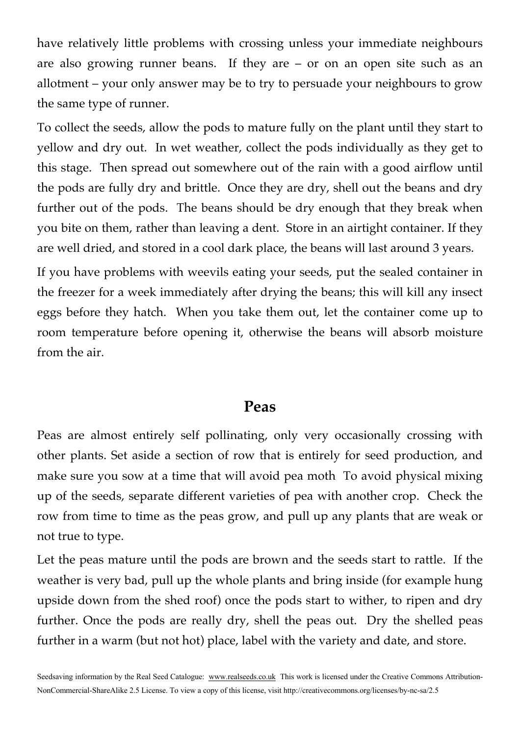have relatively little problems with crossing unless your immediate neighbours are also growing runner beans. If they are – or on an open site such as an allotment – your only answer may be to try to persuade your neighbours to grow the same type of runner.

To collect the seeds, allow the pods to mature fully on the plant until they start to yellow and dry out. In wet weather, collect the pods individually as they get to this stage. Then spread out somewhere out of the rain with a good airflow until the pods are fully dry and brittle. Once they are dry, shell out the beans and dry further out of the pods. The beans should be dry enough that they break when you bite on them, rather than leaving a dent. Store in an airtight container. If they are well dried, and stored in a cool dark place, the beans will last around 3 years.

If you have problems with weevils eating your seeds, put the sealed container in the freezer for a week immediately after drying the beans; this will kill any insect eggs before they hatch. When you take them out, let the container come up to room temperature before opening it, otherwise the beans will absorb moisture from the air.

#### **Peas**

Peas are almost entirely self pollinating, only very occasionally crossing with other plants. Set aside a section of row that is entirely for seed production, and make sure you sow at a time that will avoid pea moth To avoid physical mixing up of the seeds, separate different varieties of pea with another crop. Check the row from time to time as the peas grow, and pull up any plants that are weak or not true to type.

Let the peas mature until the pods are brown and the seeds start to rattle. If the weather is very bad, pull up the whole plants and bring inside (for example hung upside down from the shed roof) once the pods start to wither, to ripen and dry further. Once the pods are really dry, shell the peas out. Dry the shelled peas further in a warm (but not hot) place, label with the variety and date, and store.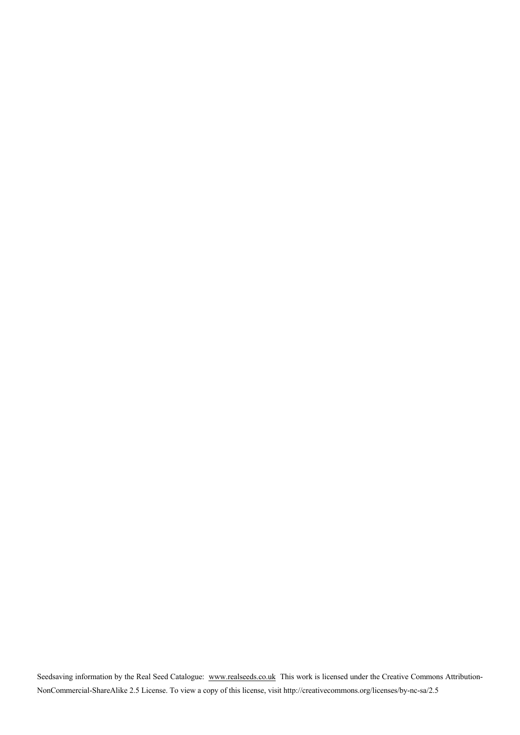Seedsaving information by the Real Seed Catalogue: www.realseeds.co.uk This work is licensed under the Creative Commons Attribution-NonCommercial-ShareAlike 2.5 License. To view a copy of this license, visit http://creativecommons.org/licenses/by-nc-sa/2.5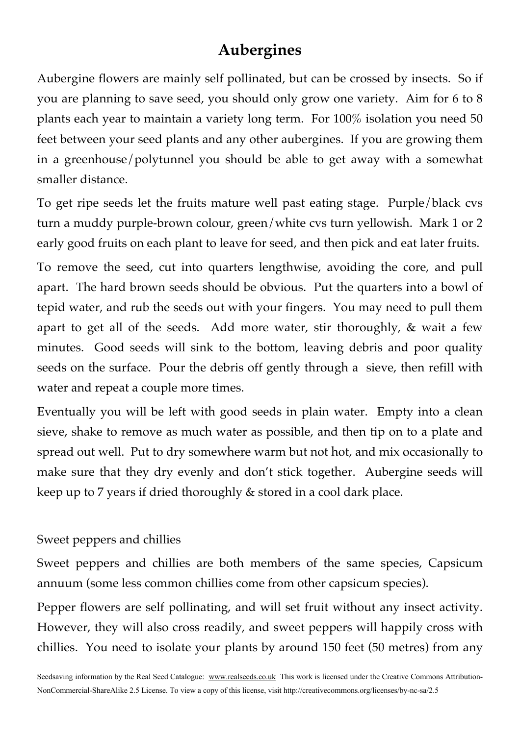# **Aubergines**

Aubergine flowers are mainly self pollinated, but can be crossed by insects. So if you are planning to save seed, you should only grow one variety. Aim for 6 to 8 plants each year to maintain a variety long term. For 100% isolation you need 50 feet between your seed plants and any other aubergines. If you are growing them in a greenhouse/polytunnel you should be able to get away with a somewhat smaller distance.

To get ripe seeds let the fruits mature well past eating stage. Purple/black cvs turn a muddy purple-brown colour, green/white cvs turn yellowish. Mark 1 or 2 early good fruits on each plant to leave for seed, and then pick and eat later fruits.

To remove the seed, cut into quarters lengthwise, avoiding the core, and pull apart. The hard brown seeds should be obvious. Put the quarters into a bowl of tepid water, and rub the seeds out with your fingers. You may need to pull them apart to get all of the seeds. Add more water, stir thoroughly, & wait a few minutes. Good seeds will sink to the bottom, leaving debris and poor quality seeds on the surface. Pour the debris off gently through a sieve, then refill with water and repeat a couple more times.

Eventually you will be left with good seeds in plain water. Empty into a clean sieve, shake to remove as much water as possible, and then tip on to a plate and spread out well. Put to dry somewhere warm but not hot, and mix occasionally to make sure that they dry evenly and don't stick together. Aubergine seeds will keep up to 7 years if dried thoroughly & stored in a cool dark place.

#### Sweet peppers and chillies

Sweet peppers and chillies are both members of the same species, Capsicum annuum (some less common chillies come from other capsicum species).

Pepper flowers are self pollinating, and will set fruit without any insect activity. However, they will also cross readily, and sweet peppers will happily cross with chillies. You need to isolate your plants by around 150 feet (50 metres) from any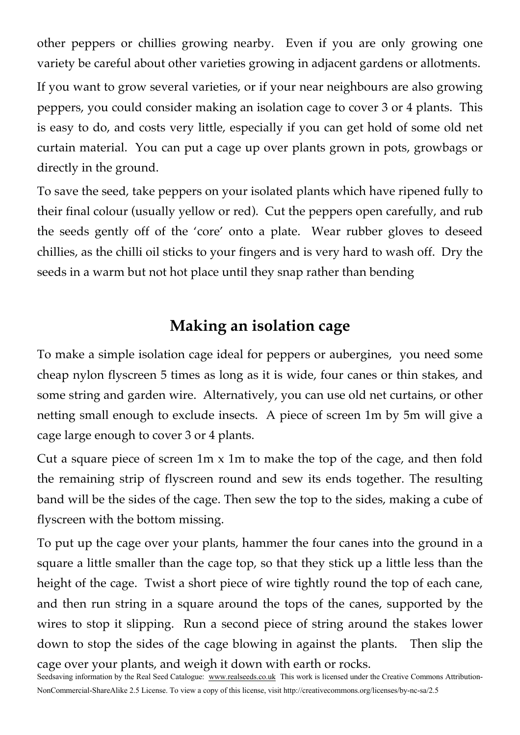other peppers or chillies growing nearby. Even if you are only growing one variety be careful about other varieties growing in adjacent gardens or allotments.

If you want to grow several varieties, or if your near neighbours are also growing peppers, you could consider making an isolation cage to cover 3 or 4 plants. This is easy to do, and costs very little, especially if you can get hold of some old net curtain material. You can put a cage up over plants grown in pots, growbags or directly in the ground.

To save the seed, take peppers on your isolated plants which have ripened fully to their final colour (usually yellow or red). Cut the peppers open carefully, and rub the seeds gently off of the 'core' onto a plate. Wear rubber gloves to deseed chillies, as the chilli oil sticks to your fingers and is very hard to wash off. Dry the seeds in a warm but not hot place until they snap rather than bending

# **Making an isolation cage**

To make a simple isolation cage ideal for peppers or aubergines, you need some cheap nylon flyscreen 5 times as long as it is wide, four canes or thin stakes, and some string and garden wire. Alternatively, you can use old net curtains, or other netting small enough to exclude insects. A piece of screen 1m by 5m will give a cage large enough to cover 3 or 4 plants.

Cut a square piece of screen 1m x 1m to make the top of the cage, and then fold the remaining strip of flyscreen round and sew its ends together. The resulting band will be the sides of the cage. Then sew the top to the sides, making a cube of flyscreen with the bottom missing.

To put up the cage over your plants, hammer the four canes into the ground in a square a little smaller than the cage top, so that they stick up a little less than the height of the cage. Twist a short piece of wire tightly round the top of each cane, and then run string in a square around the tops of the canes, supported by the wires to stop it slipping. Run a second piece of string around the stakes lower down to stop the sides of the cage blowing in against the plants. Then slip the cage over your plants, and weigh it down with earth or rocks.

Seedsaving information by the Real Seed Catalogue: www.realseeds.co.uk This work is licensed under the Creative Commons Attribution-NonCommercial-ShareAlike 2.5 License. To view a copy of this license, visit http://creativecommons.org/licenses/by-nc-sa/2.5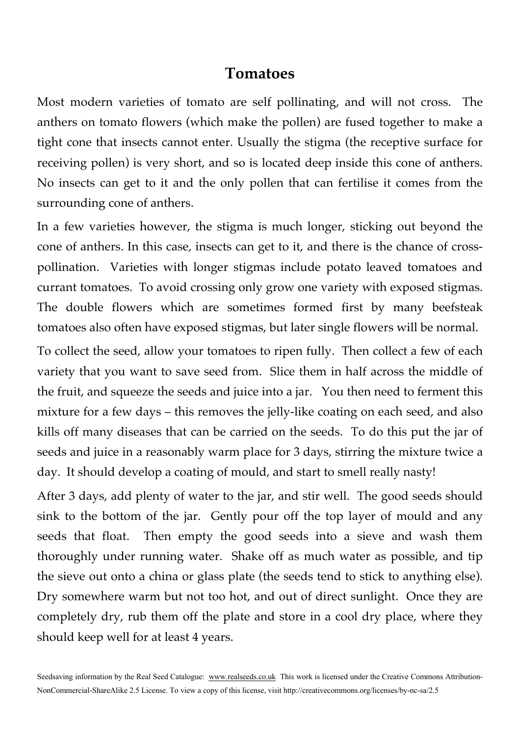#### **Tomatoes**

Most modern varieties of tomato are self pollinating, and will not cross. The anthers on tomato flowers (which make the pollen) are fused together to make a tight cone that insects cannot enter. Usually the stigma (the receptive surface for receiving pollen) is very short, and so is located deep inside this cone of anthers. No insects can get to it and the only pollen that can fertilise it comes from the surrounding cone of anthers.

In a few varieties however, the stigma is much longer, sticking out beyond the cone of anthers. In this case, insects can get to it, and there is the chance of crosspollination. Varieties with longer stigmas include potato leaved tomatoes and currant tomatoes. To avoid crossing only grow one variety with exposed stigmas. The double flowers which are sometimes formed first by many beefsteak tomatoes also often have exposed stigmas, but later single flowers will be normal.

To collect the seed, allow your tomatoes to ripen fully. Then collect a few of each variety that you want to save seed from. Slice them in half across the middle of the fruit, and squeeze the seeds and juice into a jar. You then need to ferment this mixture for a few days – this removes the jelly-like coating on each seed, and also kills off many diseases that can be carried on the seeds. To do this put the jar of seeds and juice in a reasonably warm place for 3 days, stirring the mixture twice a day. It should develop a coating of mould, and start to smell really nasty!

After 3 days, add plenty of water to the jar, and stir well. The good seeds should sink to the bottom of the jar. Gently pour off the top layer of mould and any seeds that float. Then empty the good seeds into a sieve and wash them thoroughly under running water. Shake off as much water as possible, and tip the sieve out onto a china or glass plate (the seeds tend to stick to anything else). Dry somewhere warm but not too hot, and out of direct sunlight. Once they are completely dry, rub them off the plate and store in a cool dry place, where they should keep well for at least 4 years.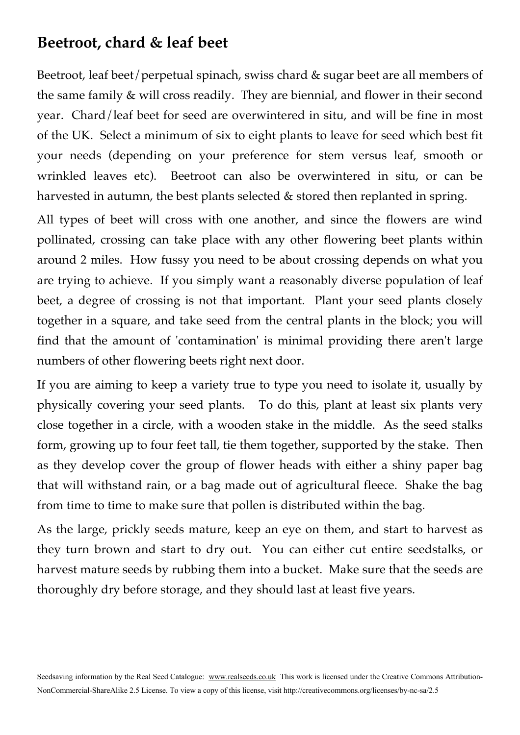## **Beetroot, chard & leaf beet**

Beetroot, leaf beet/perpetual spinach, swiss chard & sugar beet are all members of the same family & will cross readily. They are biennial, and flower in their second year. Chard/leaf beet for seed are overwintered in situ, and will be fine in most of the UK. Select a minimum of six to eight plants to leave for seed which best fit your needs (depending on your preference for stem versus leaf, smooth or wrinkled leaves etc). Beetroot can also be overwintered in situ, or can be harvested in autumn, the best plants selected & stored then replanted in spring.

All types of beet will cross with one another, and since the flowers are wind pollinated, crossing can take place with any other flowering beet plants within around 2 miles. How fussy you need to be about crossing depends on what you are trying to achieve. If you simply want a reasonably diverse population of leaf beet, a degree of crossing is not that important. Plant your seed plants closely together in a square, and take seed from the central plants in the block; you will find that the amount of 'contamination' is minimal providing there aren't large numbers of other flowering beets right next door.

If you are aiming to keep a variety true to type you need to isolate it, usually by physically covering your seed plants. To do this, plant at least six plants very close together in a circle, with a wooden stake in the middle. As the seed stalks form, growing up to four feet tall, tie them together, supported by the stake. Then as they develop cover the group of flower heads with either a shiny paper bag that will withstand rain, or a bag made out of agricultural fleece. Shake the bag from time to time to make sure that pollen is distributed within the bag.

As the large, prickly seeds mature, keep an eye on them, and start to harvest as they turn brown and start to dry out. You can either cut entire seedstalks, or harvest mature seeds by rubbing them into a bucket. Make sure that the seeds are thoroughly dry before storage, and they should last at least five years.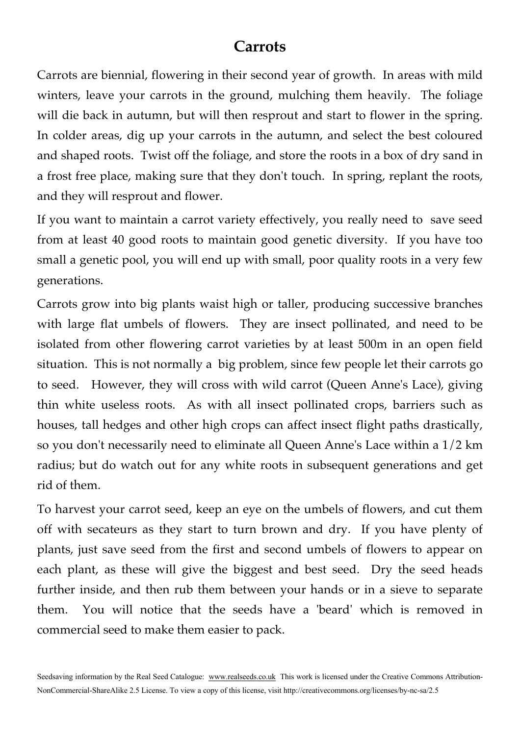#### **Carrots**

Carrots are biennial, flowering in their second year of growth. In areas with mild winters, leave your carrots in the ground, mulching them heavily. The foliage will die back in autumn, but will then resprout and start to flower in the spring. In colder areas, dig up your carrots in the autumn, and select the best coloured and shaped roots. Twist off the foliage, and store the roots in a box of dry sand in a frost free place, making sure that they don't touch. In spring, replant the roots, and they will resprout and flower.

If you want to maintain a carrot variety effectively, you really need to save seed from at least 40 good roots to maintain good genetic diversity. If you have too small a genetic pool, you will end up with small, poor quality roots in a very few generations.

Carrots grow into big plants waist high or taller, producing successive branches with large flat umbels of flowers. They are insect pollinated, and need to be isolated from other flowering carrot varieties by at least 500m in an open field situation. This is not normally a big problem, since few people let their carrots go to seed. However, they will cross with wild carrot (Queen Anne's Lace), giving thin white useless roots. As with all insect pollinated crops, barriers such as houses, tall hedges and other high crops can affect insect flight paths drastically, so you don't necessarily need to eliminate all Queen Anne's Lace within a 1/2 km radius; but do watch out for any white roots in subsequent generations and get rid of them.

To harvest your carrot seed, keep an eye on the umbels of flowers, and cut them off with secateurs as they start to turn brown and dry. If you have plenty of plants, just save seed from the first and second umbels of flowers to appear on each plant, as these will give the biggest and best seed. Dry the seed heads further inside, and then rub them between your hands or in a sieve to separate them. You will notice that the seeds have a 'beard' which is removed in commercial seed to make them easier to pack.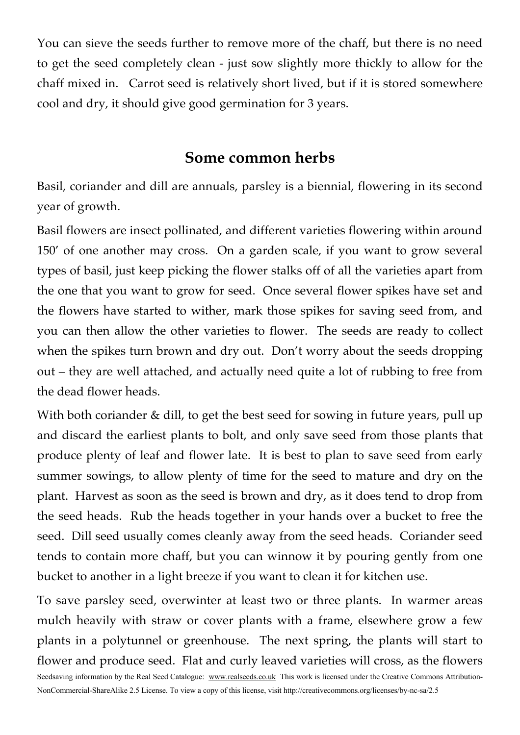You can sieve the seeds further to remove more of the chaff, but there is no need to get the seed completely clean - just sow slightly more thickly to allow for the chaff mixed in. Carrot seed is relatively short lived, but if it is stored somewhere cool and dry, it should give good germination for 3 years.

#### **Some common herbs**

Basil, coriander and dill are annuals, parsley is a biennial, flowering in its second year of growth.

Basil flowers are insect pollinated, and different varieties flowering within around 150' of one another may cross. On a garden scale, if you want to grow several types of basil, just keep picking the flower stalks off of all the varieties apart from the one that you want to grow for seed. Once several flower spikes have set and the flowers have started to wither, mark those spikes for saving seed from, and you can then allow the other varieties to flower. The seeds are ready to collect when the spikes turn brown and dry out. Don't worry about the seeds dropping out – they are well attached, and actually need quite a lot of rubbing to free from the dead flower heads.

With both coriander & dill, to get the best seed for sowing in future years, pull up and discard the earliest plants to bolt, and only save seed from those plants that produce plenty of leaf and flower late. It is best to plan to save seed from early summer sowings, to allow plenty of time for the seed to mature and dry on the plant. Harvest as soon as the seed is brown and dry, as it does tend to drop from the seed heads. Rub the heads together in your hands over a bucket to free the seed. Dill seed usually comes cleanly away from the seed heads. Coriander seed tends to contain more chaff, but you can winnow it by pouring gently from one bucket to another in a light breeze if you want to clean it for kitchen use.

Seedsaving information by the Real Seed Catalogue: www.realseeds.co.uk This work is licensed under the Creative Commons Attribution-NonCommercial-ShareAlike 2.5 License. To view a copy of this license, visit http://creativecommons.org/licenses/by-nc-sa/2.5 To save parsley seed, overwinter at least two or three plants. In warmer areas mulch heavily with straw or cover plants with a frame, elsewhere grow a few plants in a polytunnel or greenhouse. The next spring, the plants will start to flower and produce seed. Flat and curly leaved varieties will cross, as the flowers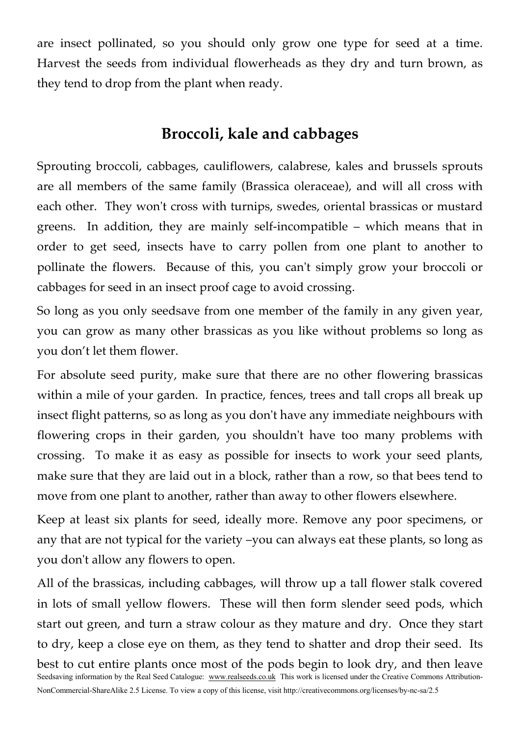are insect pollinated, so you should only grow one type for seed at a time. Harvest the seeds from individual flowerheads as they dry and turn brown, as they tend to drop from the plant when ready.

### **Broccoli, kale and cabbages**

Sprouting broccoli, cabbages, cauliflowers, calabrese, kales and brussels sprouts are all members of the same family (Brassica oleraceae), and will all cross with each other. They won't cross with turnips, swedes, oriental brassicas or mustard greens. In addition, they are mainly self-incompatible – which means that in order to get seed, insects have to carry pollen from one plant to another to pollinate the flowers. Because of this, you can't simply grow your broccoli or cabbages for seed in an insect proof cage to avoid crossing.

So long as you only seedsave from one member of the family in any given year, you can grow as many other brassicas as you like without problems so long as you don't let them flower.

For absolute seed purity, make sure that there are no other flowering brassicas within a mile of your garden. In practice, fences, trees and tall crops all break up insect flight patterns, so as long as you don't have any immediate neighbours with flowering crops in their garden, you shouldn't have too many problems with crossing. To make it as easy as possible for insects to work your seed plants, make sure that they are laid out in a block, rather than a row, so that bees tend to move from one plant to another, rather than away to other flowers elsewhere.

Keep at least six plants for seed, ideally more. Remove any poor specimens, or any that are not typical for the variety –you can always eat these plants, so long as you don't allow any flowers to open.

Seedsaving information by the Real Seed Catalogue: www.realseeds.co.uk This work is licensed under the Creative Commons Attribution-NonCommercial-ShareAlike 2.5 License. To view a copy of this license, visit http://creativecommons.org/licenses/by-nc-sa/2.5 All of the brassicas, including cabbages, will throw up a tall flower stalk covered in lots of small yellow flowers. These will then form slender seed pods, which start out green, and turn a straw colour as they mature and dry. Once they start to dry, keep a close eye on them, as they tend to shatter and drop their seed. Its best to cut entire plants once most of the pods begin to look dry, and then leave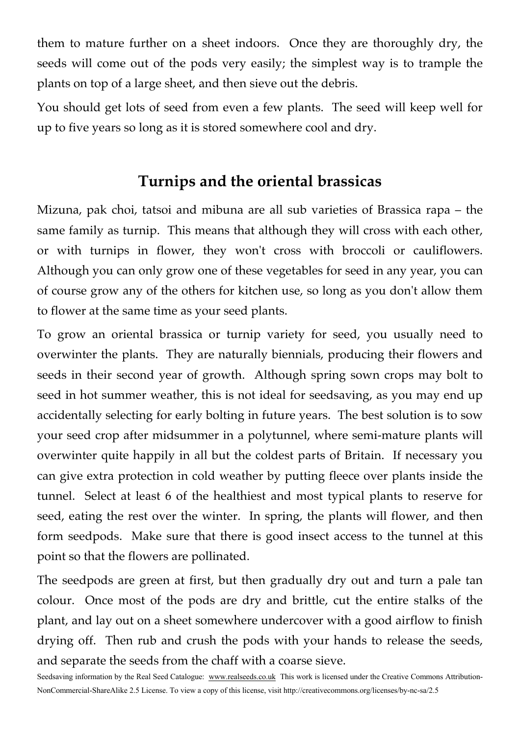them to mature further on a sheet indoors. Once they are thoroughly dry, the seeds will come out of the pods very easily; the simplest way is to trample the plants on top of a large sheet, and then sieve out the debris.

You should get lots of seed from even a few plants. The seed will keep well for up to five years so long as it is stored somewhere cool and dry.

# **Turnips and the oriental brassicas**

Mizuna, pak choi, tatsoi and mibuna are all sub varieties of Brassica rapa – the same family as turnip. This means that although they will cross with each other, or with turnips in flower, they won't cross with broccoli or cauliflowers. Although you can only grow one of these vegetables for seed in any year, you can of course grow any of the others for kitchen use, so long as you don't allow them to flower at the same time as your seed plants.

To grow an oriental brassica or turnip variety for seed, you usually need to overwinter the plants. They are naturally biennials, producing their flowers and seeds in their second year of growth. Although spring sown crops may bolt to seed in hot summer weather, this is not ideal for seedsaving, as you may end up accidentally selecting for early bolting in future years. The best solution is to sow your seed crop after midsummer in a polytunnel, where semi-mature plants will overwinter quite happily in all but the coldest parts of Britain. If necessary you can give extra protection in cold weather by putting fleece over plants inside the tunnel. Select at least 6 of the healthiest and most typical plants to reserve for seed, eating the rest over the winter. In spring, the plants will flower, and then form seedpods. Make sure that there is good insect access to the tunnel at this point so that the flowers are pollinated.

The seedpods are green at first, but then gradually dry out and turn a pale tan colour. Once most of the pods are dry and brittle, cut the entire stalks of the plant, and lay out on a sheet somewhere undercover with a good airflow to finish drying off. Then rub and crush the pods with your hands to release the seeds, and separate the seeds from the chaff with a coarse sieve.

Seedsaving information by the Real Seed Catalogue: www.realseeds.co.uk This work is licensed under the Creative Commons Attribution-NonCommercial-ShareAlike 2.5 License. To view a copy of this license, visit http://creativecommons.org/licenses/by-nc-sa/2.5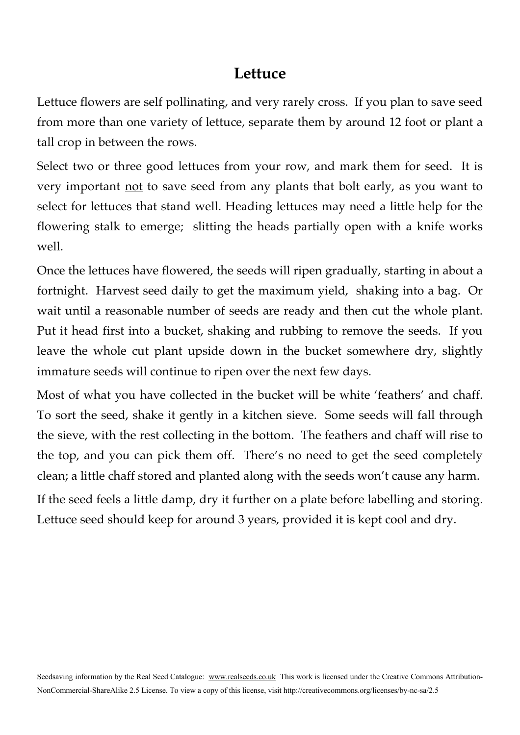#### **Lettuce**

Lettuce flowers are self pollinating, and very rarely cross. If you plan to save seed from more than one variety of lettuce, separate them by around 12 foot or plant a tall crop in between the rows.

Select two or three good lettuces from your row, and mark them for seed. It is very important not to save seed from any plants that bolt early, as you want to select for lettuces that stand well. Heading lettuces may need a little help for the flowering stalk to emerge; slitting the heads partially open with a knife works well.

Once the lettuces have flowered, the seeds will ripen gradually, starting in about a fortnight. Harvest seed daily to get the maximum yield, shaking into a bag. Or wait until a reasonable number of seeds are ready and then cut the whole plant. Put it head first into a bucket, shaking and rubbing to remove the seeds. If you leave the whole cut plant upside down in the bucket somewhere dry, slightly immature seeds will continue to ripen over the next few days.

Most of what you have collected in the bucket will be white 'feathers' and chaff. To sort the seed, shake it gently in a kitchen sieve. Some seeds will fall through the sieve, with the rest collecting in the bottom. The feathers and chaff will rise to the top, and you can pick them off. There's no need to get the seed completely clean; a little chaff stored and planted along with the seeds won't cause any harm. If the seed feels a little damp, dry it further on a plate before labelling and storing. Lettuce seed should keep for around 3 years, provided it is kept cool and dry.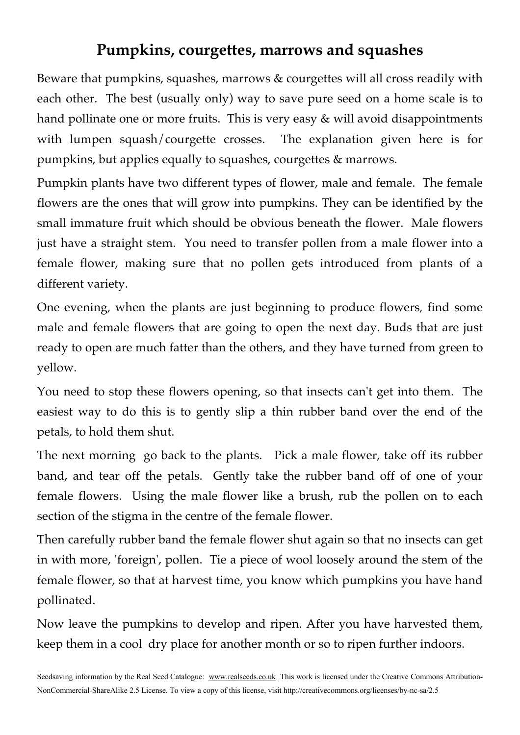# **Pumpkins, courgettes, marrows and squashes**

Beware that pumpkins, squashes, marrows & courgettes will all cross readily with each other. The best (usually only) way to save pure seed on a home scale is to hand pollinate one or more fruits. This is very easy & will avoid disappointments with lumpen squash/courgette crosses. The explanation given here is for pumpkins, but applies equally to squashes, courgettes & marrows.

Pumpkin plants have two different types of flower, male and female. The female flowers are the ones that will grow into pumpkins. They can be identified by the small immature fruit which should be obvious beneath the flower. Male flowers just have a straight stem. You need to transfer pollen from a male flower into a female flower, making sure that no pollen gets introduced from plants of a different variety.

One evening, when the plants are just beginning to produce flowers, find some male and female flowers that are going to open the next day. Buds that are just ready to open are much fatter than the others, and they have turned from green to yellow.

You need to stop these flowers opening, so that insects can't get into them. The easiest way to do this is to gently slip a thin rubber band over the end of the petals, to hold them shut.

The next morning go back to the plants. Pick a male flower, take off its rubber band, and tear off the petals. Gently take the rubber band off of one of your female flowers. Using the male flower like a brush, rub the pollen on to each section of the stigma in the centre of the female flower.

Then carefully rubber band the female flower shut again so that no insects can get in with more, 'foreign', pollen. Tie a piece of wool loosely around the stem of the female flower, so that at harvest time, you know which pumpkins you have hand pollinated.

Now leave the pumpkins to develop and ripen. After you have harvested them, keep them in a cool dry place for another month or so to ripen further indoors.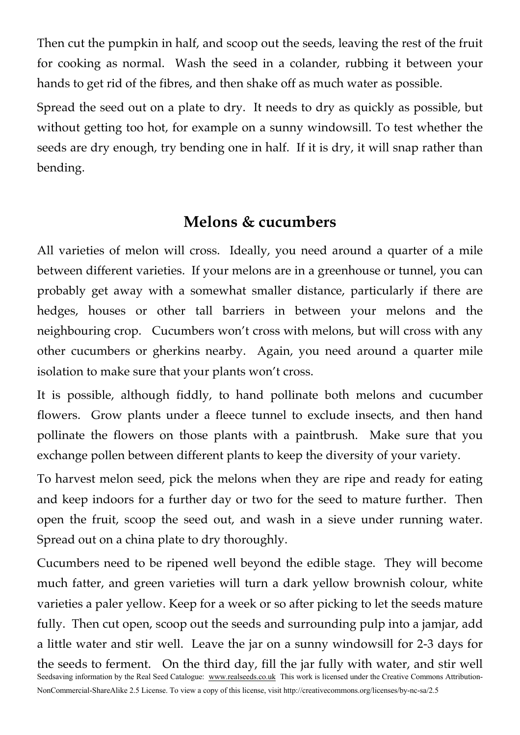Then cut the pumpkin in half, and scoop out the seeds, leaving the rest of the fruit for cooking as normal. Wash the seed in a colander, rubbing it between your hands to get rid of the fibres, and then shake off as much water as possible.

Spread the seed out on a plate to dry. It needs to dry as quickly as possible, but without getting too hot, for example on a sunny windowsill. To test whether the seeds are dry enough, try bending one in half. If it is dry, it will snap rather than bending.

#### **Melons & cucumbers**

All varieties of melon will cross. Ideally, you need around a quarter of a mile between different varieties. If your melons are in a greenhouse or tunnel, you can probably get away with a somewhat smaller distance, particularly if there are hedges, houses or other tall barriers in between your melons and the neighbouring crop. Cucumbers won't cross with melons, but will cross with any other cucumbers or gherkins nearby. Again, you need around a quarter mile isolation to make sure that your plants won't cross.

It is possible, although fiddly, to hand pollinate both melons and cucumber flowers. Grow plants under a fleece tunnel to exclude insects, and then hand pollinate the flowers on those plants with a paintbrush. Make sure that you exchange pollen between different plants to keep the diversity of your variety.

To harvest melon seed, pick the melons when they are ripe and ready for eating and keep indoors for a further day or two for the seed to mature further. Then open the fruit, scoop the seed out, and wash in a sieve under running water. Spread out on a china plate to dry thoroughly.

Seedsaving information by the Real Seed Catalogue: www.realseeds.co.uk This work is licensed under the Creative Commons Attribution-NonCommercial-ShareAlike 2.5 License. To view a copy of this license, visit http://creativecommons.org/licenses/by-nc-sa/2.5 Cucumbers need to be ripened well beyond the edible stage. They will become much fatter, and green varieties will turn a dark yellow brownish colour, white varieties a paler yellow. Keep for a week or so after picking to let the seeds mature fully. Then cut open, scoop out the seeds and surrounding pulp into a jamjar, add a little water and stir well. Leave the jar on a sunny windowsill for 2-3 days for the seeds to ferment. On the third day, fill the jar fully with water, and stir well